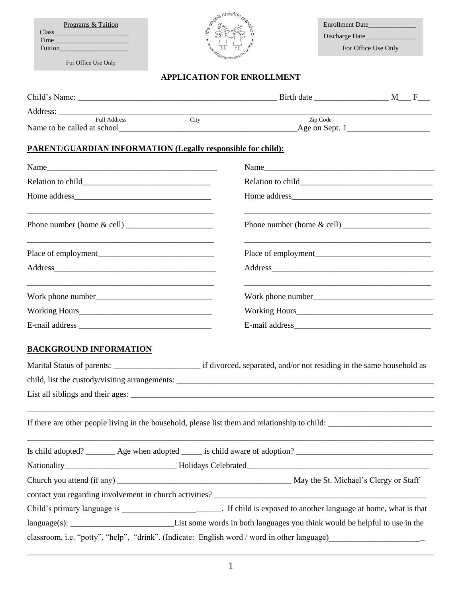| a code christian<br>Programs & Tuition                                                         |                                                                                                                           | Enrollment Date |                     |  |
|------------------------------------------------------------------------------------------------|---------------------------------------------------------------------------------------------------------------------------|-----------------|---------------------|--|
| Class Class<br>Time                                                                            |                                                                                                                           |                 |                     |  |
| <b>Tuition</b>                                                                                 |                                                                                                                           |                 | For Office Use Only |  |
| For Office Use Only                                                                            |                                                                                                                           |                 |                     |  |
|                                                                                                | <b>APPLICATION FOR ENROLLMENT</b>                                                                                         |                 |                     |  |
|                                                                                                |                                                                                                                           |                 |                     |  |
|                                                                                                | <u> 1989 - Johann Harry Harry Harry Harry Harry Harry Harry Harry Harry Harry Harry Harry Harry Harry Harry Harry</u>     |                 |                     |  |
|                                                                                                | City                                                                                                                      |                 | Zip Code            |  |
| <b>PARENT/GUARDIAN INFORMATION (Legally responsible for child):</b>                            |                                                                                                                           |                 |                     |  |
|                                                                                                |                                                                                                                           |                 |                     |  |
| Name                                                                                           |                                                                                                                           |                 |                     |  |
|                                                                                                |                                                                                                                           |                 |                     |  |
|                                                                                                |                                                                                                                           |                 |                     |  |
|                                                                                                |                                                                                                                           |                 |                     |  |
|                                                                                                |                                                                                                                           |                 |                     |  |
|                                                                                                |                                                                                                                           |                 |                     |  |
|                                                                                                |                                                                                                                           |                 |                     |  |
|                                                                                                |                                                                                                                           |                 |                     |  |
|                                                                                                |                                                                                                                           |                 |                     |  |
|                                                                                                |                                                                                                                           |                 |                     |  |
| <b>BACKGROUND INFORMATION</b>                                                                  |                                                                                                                           |                 |                     |  |
|                                                                                                |                                                                                                                           |                 |                     |  |
|                                                                                                |                                                                                                                           |                 |                     |  |
|                                                                                                |                                                                                                                           |                 |                     |  |
|                                                                                                |                                                                                                                           |                 |                     |  |
| If there are other people living in the household, please list them and relationship to child: |                                                                                                                           |                 |                     |  |
|                                                                                                |                                                                                                                           |                 |                     |  |
|                                                                                                |                                                                                                                           |                 |                     |  |
|                                                                                                |                                                                                                                           |                 |                     |  |
|                                                                                                |                                                                                                                           |                 |                     |  |
|                                                                                                | Child's primary language is ______________________________. If child is exposed to another language at home, what is that |                 |                     |  |
|                                                                                                |                                                                                                                           |                 |                     |  |
| classroom, i.e. "potty", "help", "drink". (Indicate: English word / word in other language)    |                                                                                                                           |                 |                     |  |

| _____________ |
|---------------|
|               |
|               |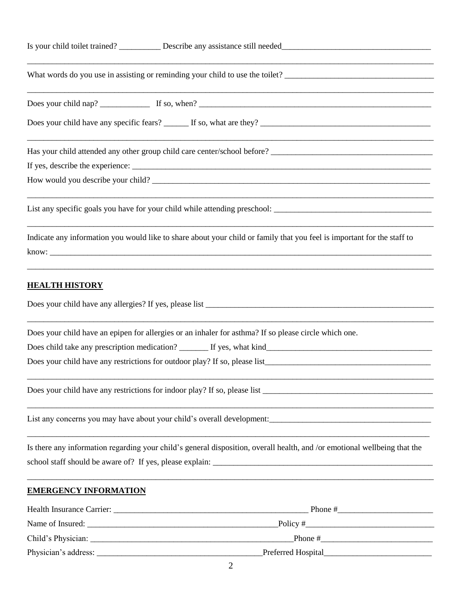|                              | <u> 1989 - Johann Stoff, deutscher Stoff, der Stoff, der Stoff, der Stoff, der Stoff, der Stoff, der Stoff, der S</u>     |  |  |  |  |
|------------------------------|---------------------------------------------------------------------------------------------------------------------------|--|--|--|--|
|                              |                                                                                                                           |  |  |  |  |
|                              | How would you describe your child?                                                                                        |  |  |  |  |
|                              |                                                                                                                           |  |  |  |  |
|                              | Indicate any information you would like to share about your child or family that you feel is important for the staff to   |  |  |  |  |
| <b>HEALTH HISTORY</b>        |                                                                                                                           |  |  |  |  |
|                              | Does your child have an epipen for allergies or an inhaler for asthma? If so please circle which one.                     |  |  |  |  |
|                              |                                                                                                                           |  |  |  |  |
|                              |                                                                                                                           |  |  |  |  |
|                              |                                                                                                                           |  |  |  |  |
|                              |                                                                                                                           |  |  |  |  |
|                              | Is there any information regarding your child's general disposition, overall health, and /or emotional wellbeing that the |  |  |  |  |
| <b>EMERGENCY INFORMATION</b> |                                                                                                                           |  |  |  |  |
|                              |                                                                                                                           |  |  |  |  |
|                              |                                                                                                                           |  |  |  |  |
|                              |                                                                                                                           |  |  |  |  |

Physician's address: \_\_\_\_\_\_\_\_\_\_\_\_\_\_\_\_\_\_\_\_\_\_\_\_\_\_\_\_\_\_\_\_\_\_\_\_\_\_\_\_Preferred Hospital\_\_\_\_\_\_\_\_\_\_\_\_\_\_\_\_\_\_\_\_\_\_\_\_\_\_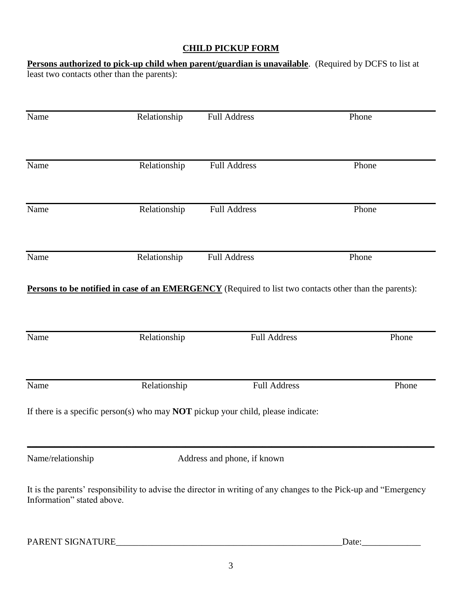## **CHILD PICKUP FORM**

**Persons authorized to pick-up child when parent/guardian is unavailable**. (Required by DCFS to list at least two contacts other than the parents):

| Name                                                                                                                                           | Relationship | <b>Full Address</b>         | Phone |  |  |
|------------------------------------------------------------------------------------------------------------------------------------------------|--------------|-----------------------------|-------|--|--|
| Name                                                                                                                                           | Relationship | <b>Full Address</b>         | Phone |  |  |
| Name                                                                                                                                           | Relationship | <b>Full Address</b>         | Phone |  |  |
| Name                                                                                                                                           | Relationship | <b>Full Address</b>         | Phone |  |  |
| Persons to be notified in case of an EMERGENCY (Required to list two contacts other than the parents):                                         |              |                             |       |  |  |
| Name                                                                                                                                           | Relationship | <b>Full Address</b>         | Phone |  |  |
| Name                                                                                                                                           | Relationship | <b>Full Address</b>         | Phone |  |  |
| If there is a specific person(s) who may <b>NOT</b> pickup your child, please indicate:                                                        |              |                             |       |  |  |
| Name/relationship                                                                                                                              |              | Address and phone, if known |       |  |  |
| It is the parents' responsibility to advise the director in writing of any changes to the Pick-up and "Emergency<br>Information" stated above. |              |                             |       |  |  |